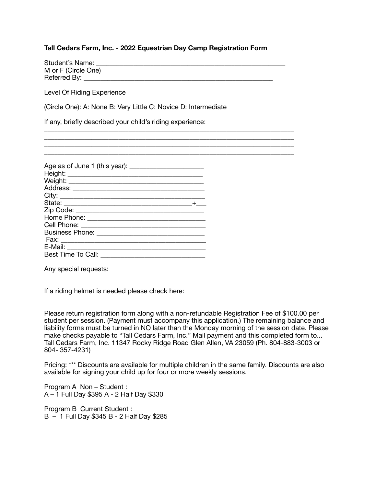## **Tall Cedars Farm, Inc. - 2022 Equestrian Day Camp Registration Form**

| Student's Name:     |  |
|---------------------|--|
| M or F (Circle One) |  |
| Referred By:        |  |

\_\_\_\_\_\_\_\_\_\_\_\_\_\_\_\_\_\_\_\_\_\_\_\_\_\_\_\_\_\_\_\_\_\_\_\_\_\_\_\_\_\_\_\_\_\_\_\_\_\_\_\_\_\_\_\_\_\_\_\_\_\_\_\_\_\_\_\_\_\_\_\_\_\_

Level Of Riding Experience

(Circle One): A: None B: Very Little C: Novice D: Intermediate

If any, briefly described your child's riding experience:

| Address: _______________________ |  |
|----------------------------------|--|
|                                  |  |
|                                  |  |
|                                  |  |
|                                  |  |
|                                  |  |
|                                  |  |
|                                  |  |
| E-Mail: _______________________  |  |
| Best Time To Call:               |  |

Any special requests:

If a riding helmet is needed please check here:

Please return registration form along with a non-refundable Registration Fee of \$100.00 per student per session. (Payment must accompany this application.) The remaining balance and liability forms must be turned in NO later than the Monday morning of the session date. Please make checks payable to "Tall Cedars Farm, Inc." Mail payment and this completed form to... Tall Cedars Farm, Inc. 11347 Rocky Ridge Road Glen Allen, VA 23059 (Ph. 804-883-3003 or 804- 357-4231)

Pricing: \*\*\* Discounts are available for multiple children in the same family. Discounts are also available for signing your child up for four or more weekly sessions.

Program A Non – Student : A – 1 Full Day \$395 A - 2 Half Day \$330

Program B Current Student : B – 1 Full Day \$345 B - 2 Half Day \$285